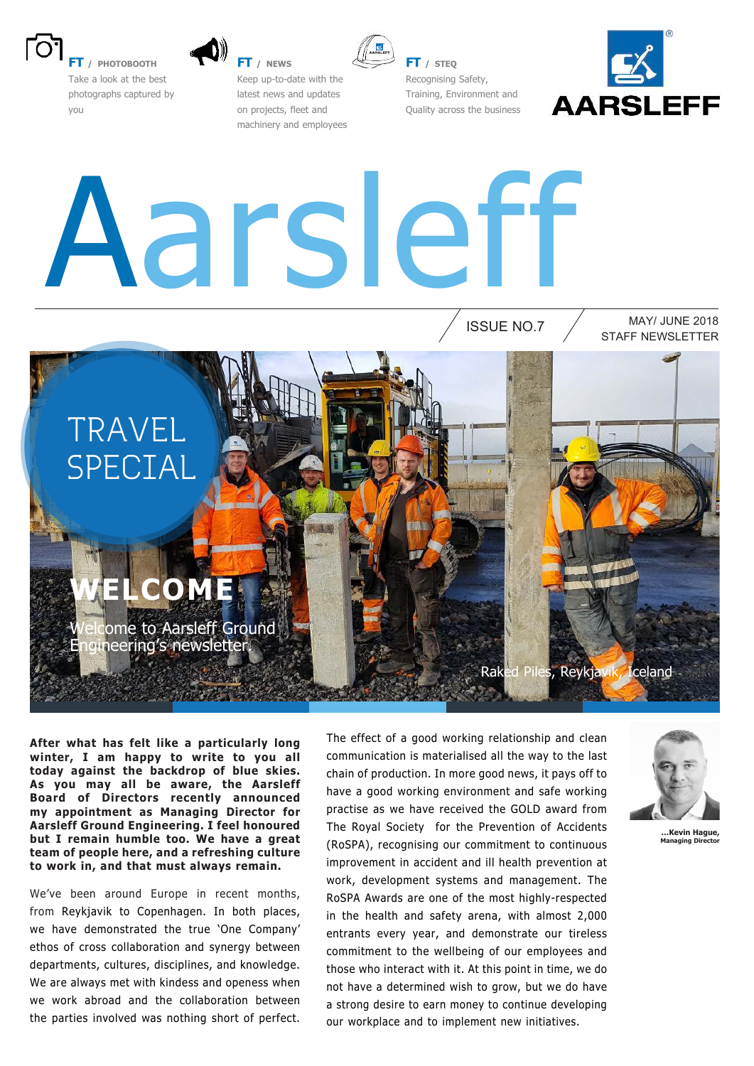

**FT / PHOTOBOOTH** Take a look at the best photographs captured by you

**FT / NEWS**



**FT / STEQ** Recognising Safety, Training, Environment and Quality across the business

ISSUE NO.7



# Aarsleff

Keep up-to-date with the latest news and updates on projects, fleet and machinery and employees

> STAFF NEWSLETTER MAY/ JUNE 2018



### **WELCOME**

come to Aarsleff Ground Engineering's newsletter.

**After what has felt like a particularly long winter, I am happy to write to you all today against the backdrop of blue skies. As you may all be aware, the Aarsleff Board of Directors recently announced my appointment as Managing Director for Aarsleff Ground Engineering. I feel honoured but I remain humble too. We have a great team of people here, and a refreshing culture to work in, and that must always remain.** 

We've been around Europe in recent months, from Reykjavik to Copenhagen. In both places, we have demonstrated the true 'One Company' ethos of cross collaboration and synergy between departments, cultures, disciplines, and knowledge. We are always met with kindess and openess when we work abroad and the collaboration between the parties involved was nothing short of perfect. The effect of a good working relationship and clean communication is materialised all the way to the last chain of production. In more good news, it pays off to have a good working environment and safe working practise as we have received the GOLD award from The Royal Society for the Prevention of Accidents (RoSPA), recognising our commitment to continuous improvement in accident and ill health prevention at work, development systems and management. The RoSPA Awards are one of the most highly-respected in the health and safety arena, with almost 2,000 entrants every year, and demonstrate our tireless commitment to the wellbeing of our employees and those who interact with it. At this point in time, we do not have a determined wish to grow, but we do have a strong desire to earn money to continue developing our workplace and to implement new initiatives.



Raked Piles, Reykjavik, Iceland

**…Kevin Hague, Managing Director**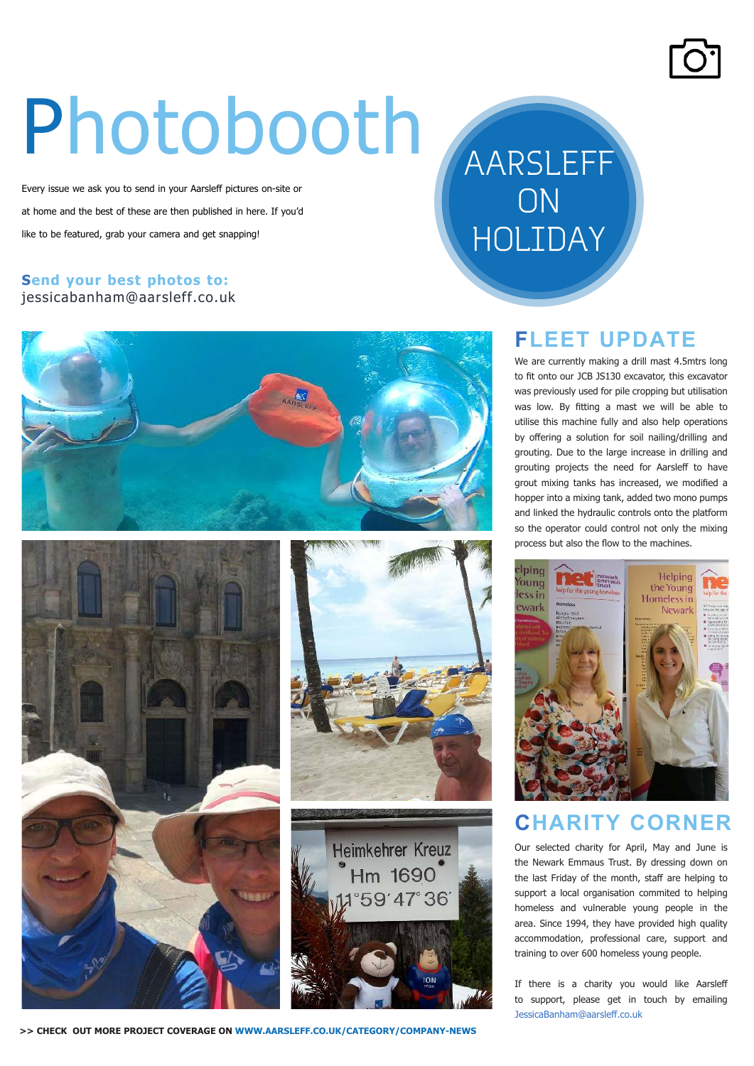## Photobooth

Every issue we ask you to send in your Aarsleff pictures on-site or at home and the best of these are then published in here. If you'd like to be featured, grab your camera and get snapping!

#### **Send your best photos to:** jessicabanham@aarsleff.co.uk









#### grout mixing tanks has increased, we modified a

AARSLEFF

ON

HOLIDAY

hopper into a mixing tank, added two mono pumps and linked the hydraulic controls onto the platform so the operator could control not only the mixing process but also the flow to the machines. elping Helping Young the Young lessin Homeless in ewark Newcri

**FLEET UPDATE**

We are currently making a drill mast 4.5mtrs long to fit onto our JCB JS130 excavator, this excavator was previously used for pile cropping but utilisation was low. By fitting a mast we will be able to utilise this machine fully and also help operations by offering a solution for soil nailing/drilling and grouting. Due to the large increase in drilling and grouting projects the need for Aarsleff to have



#### **CHARITY CORNER**

Our selected charity for April, May and June is the Newark Emmaus Trust. By dressing down on the last Friday of the month, staff are helping to support a local organisation commited to helping homeless and vulnerable young people in the area. Since 1994, they have provided high quality accommodation, professional care, support and training to over 600 homeless young people.

If there is a charity you would like Aarsleff to support, please get in touch by emailing JessicaBanham@aarslef.co.uk

#### **>> CHECK OUT MORE PROJECT COVERAGE ON WWW.AARSLEFF.CO.UK/CATEGORY/COMPANY-NEWS**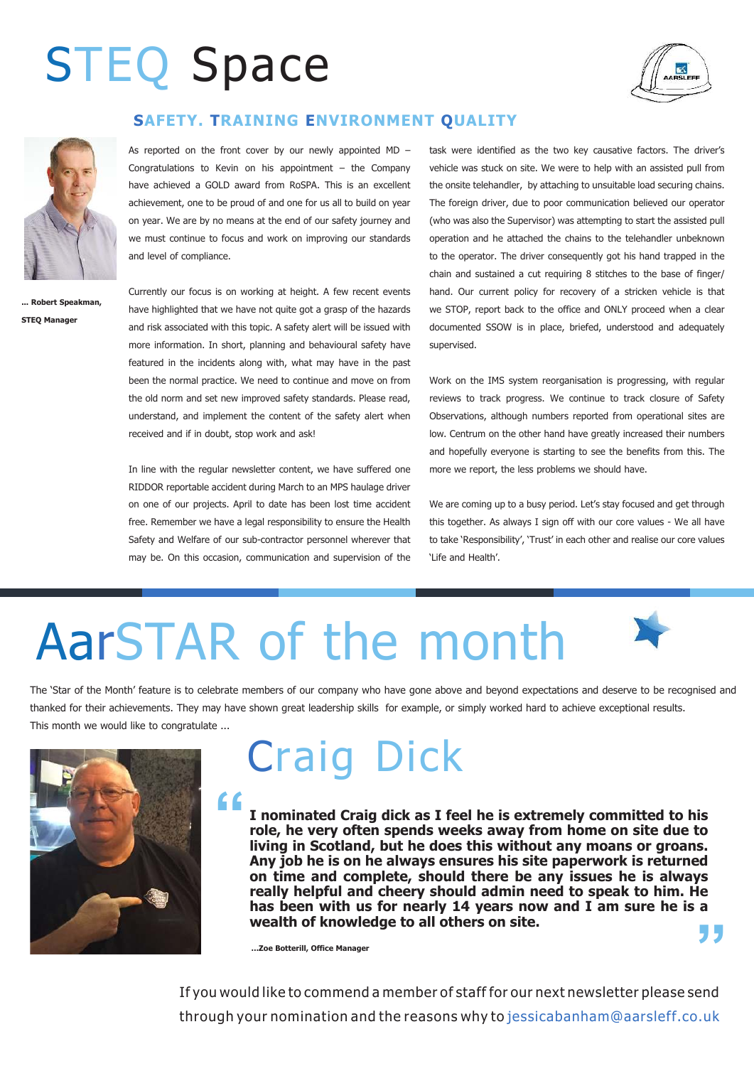## STEQ Space



#### **SAFETY. TRAINING ENVIRONMENT QUALITY**



**... Robert Speakman, STEQ Manager**

As reported on the front cover by our newly appointed  $MD -$ Congratulations to Kevin on his appointment – the Company have achieved a GOLD award from RoSPA. This is an excellent achievement, one to be proud of and one for us all to build on year on year. We are by no means at the end of our safety journey and we must continue to focus and work on improving our standards and level of compliance.

Currently our focus is on working at height. A few recent events have highlighted that we have not quite got a grasp of the hazards and risk associated with this topic. A safety alert will be issued with more information. In short, planning and behavioural safety have featured in the incidents along with, what may have in the past been the normal practice. We need to continue and move on from the old norm and set new improved safety standards. Please read, understand, and implement the content of the safety alert when received and if in doubt, stop work and ask!

In line with the regular newsletter content, we have suffered one RIDDOR reportable accident during March to an MPS haulage driver on one of our projects. April to date has been lost time accident free. Remember we have a legal responsibility to ensure the Health Safety and Welfare of our sub-contractor personnel wherever that may be. On this occasion, communication and supervision of the

task were identified as the two key causative factors. The driver's vehicle was stuck on site. We were to help with an assisted pull from the onsite telehandler, by attaching to unsuitable load securing chains. The foreign driver, due to poor communication believed our operator (who was also the Supervisor) was attempting to start the assisted pull operation and he attached the chains to the telehandler unbeknown to the operator. The driver consequently got his hand trapped in the chain and sustained a cut requiring 8 stitches to the base of finger/ hand. Our current policy for recovery of a stricken vehicle is that we STOP, report back to the office and ONLY proceed when a clear documented SSOW is in place, briefed, understood and adequately supervised.

Work on the IMS system reorganisation is progressing, with regular reviews to track progress. We continue to track closure of Safety Observations, although numbers reported from operational sites are low. Centrum on the other hand have greatly increased their numbers and hopefully everyone is starting to see the benefits from this. The more we report, the less problems we should have.

We are coming up to a busy period. Let's stay focused and get through this together. As always I sign off with our core values - We all have to take 'Responsibility', 'Trust' in each other and realise our core values 'Life and Health'.

## AarSTAR of the month





## Craig Dick

**" " I nominated Craig dick as I feel he is extremely committed to his role, he very often spends weeks away from home on site due to living in Scotland, but he does this without any moans or groans. Any job he is on he always ensures his site paperwork is returned on time and complete, should there be any issues he is always really helpful and cheery should admin need to speak to him. He has been with us for nearly 14 years now and I am sure he is a wealth of knowledge to all others on site.**

**…Zoe Botterill, Office Manager** 

If you would like to commend a member of staff for our next newsletter please send through your nomination and the reasons why to jessicabanham@aarsleff.co.uk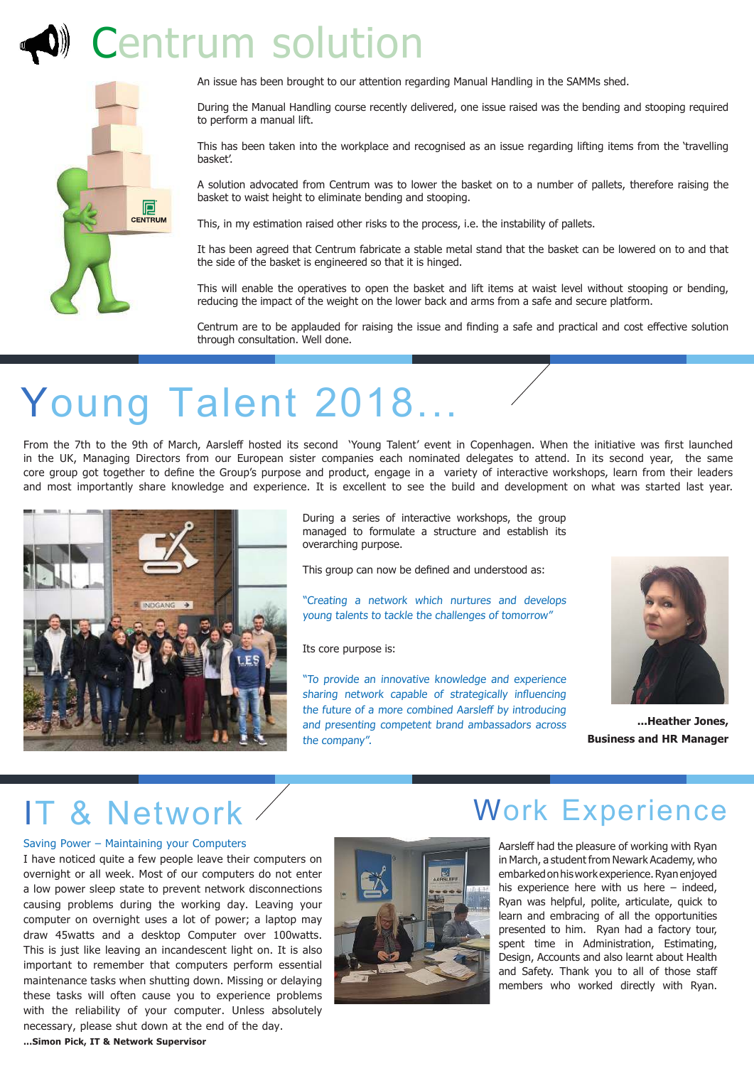## Centrum solution



An issue has been brought to our attention regarding Manual Handling in the SAMMs shed.

During the Manual Handling course recently delivered, one issue raised was the bending and stooping required to perform a manual lift.

This has been taken into the workplace and recognised as an issue regarding lifting items from the 'travelling basket'.

A solution advocated from Centrum was to lower the basket on to a number of pallets, therefore raising the basket to waist height to eliminate bending and stooping.

This, in my estimation raised other risks to the process, i.e. the instability of pallets.

It has been agreed that Centrum fabricate a stable metal stand that the basket can be lowered on to and that the side of the basket is engineered so that it is hinged.

This will enable the operatives to open the basket and lift items at waist level without stooping or bending, reducing the impact of the weight on the lower back and arms from a safe and secure platform.

Centrum are to be applauded for raising the issue and finding a safe and practical and cost effective solution through consultation. Well done.

## Young Talent 2018...

From the 7th to the 9th of March, Aarsleff hosted its second 'Young Talent' event in Copenhagen. When the initiative was first launched in the UK, Managing Directors from our European sister companies each nominated delegates to attend. In its second year, the same core group got together to deine the Group's purpose and product, engage in a variety of interactive workshops, learn from their leaders and most importantly share knowledge and experience. It is excellent to see the build and development on what was started last year.



During a series of interactive workshops, the group managed to formulate a structure and establish its overarching purpose.

This group can now be defined and understood as:

"Creating a network which nurtures and develops young talents to tackle the challenges of tomorrow"

Its core purpose is:

"To provide an innovative knowledge and experience sharing network capable of strategically influencing the future of a more combined Aarsleff by introducing and presenting competent brand ambassadors across the company".



**...Heather Jones, Business and HR Manager**

#### IT & Network

#### Saving Power – Maintaining your Computers

I have noticed quite a few people leave their computers on overnight or all week. Most of our computers do not enter a low power sleep state to prevent network disconnections causing problems during the working day. Leaving your computer on overnight uses a lot of power; a laptop may draw 45watts and a desktop Computer over 100watts. This is just like leaving an incandescent light on. It is also important to remember that computers perform essential maintenance tasks when shutting down. Missing or delaying these tasks will often cause you to experience problems with the reliability of your computer. Unless absolutely necessary, please shut down at the end of the day.



#### Work Experience

Aarsleff had the pleasure of working with Ryan in March, a student from Newark Academy, who embarked on his work experience. Ryan enjoyed his experience here with us here – indeed, Ryan was helpful, polite, articulate, quick to learn and embracing of all the opportunities presented to him. Ryan had a factory tour, spent time in Administration, Estimating, Design, Accounts and also learnt about Health and Safety. Thank you to all of those staff members who worked directly with Ryan.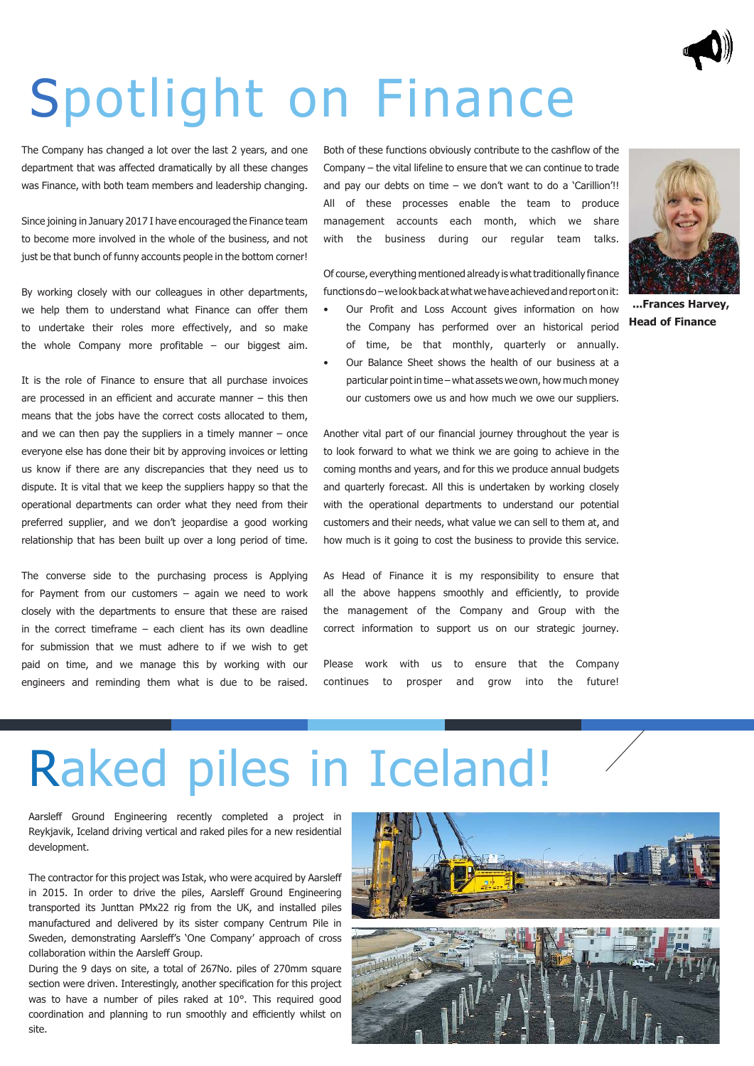

## Spotlight on Finance

The Company has changed a lot over the last 2 years, and one department that was affected dramatically by all these changes was Finance, with both team members and leadership changing.

Since joining in January 2017 I have encouraged the Finance team to become more involved in the whole of the business, and not just be that bunch of funny accounts people in the bottom corner!

By working closely with our colleagues in other departments, we help them to understand what Finance can offer them to undertake their roles more effectively, and so make the whole Company more profitable – our biggest aim.

It is the role of Finance to ensure that all purchase invoices are processed in an efficient and accurate manner – this then means that the jobs have the correct costs allocated to them, and we can then pay the suppliers in a timely manner  $-$  once everyone else has done their bit by approving invoices or letting us know if there are any discrepancies that they need us to dispute. It is vital that we keep the suppliers happy so that the operational departments can order what they need from their preferred supplier, and we don't jeopardise a good working relationship that has been built up over a long period of time.

The converse side to the purchasing process is Applying for Payment from our customers – again we need to work closely with the departments to ensure that these are raised in the correct timeframe – each client has its own deadline for submission that we must adhere to if we wish to get paid on time, and we manage this by working with our engineers and reminding them what is due to be raised.

Both of these functions obviously contribute to the cashflow of the Company – the vital lifeline to ensure that we can continue to trade and pay our debts on time – we don't want to do a 'Carillion'!! All of these processes enable the team to produce management accounts each month, which we share with the business during our regular team talks.

Of course, everything mentioned already is what traditionally finance functions do – we look back at what we have achieved and report on it:

- Our Profit and Loss Account gives information on how the Company has performed over an historical period of time, be that monthly, quarterly or annually.
- Our Balance Sheet shows the health of our business at a particular point in time – what assets we own, how much money our customers owe us and how much we owe our suppliers.



**...Frances Harvey, Head of Finance**

Another vital part of our financial journey throughout the year is to look forward to what we think we are going to achieve in the coming months and years, and for this we produce annual budgets and quarterly forecast. All this is undertaken by working closely with the operational departments to understand our potential customers and their needs, what value we can sell to them at, and how much is it going to cost the business to provide this service.

As Head of Finance it is my responsibility to ensure that all the above happens smoothly and efficiently, to provide the management of the Company and Group with the correct information to support us on our strategic journey.

Please work with us to ensure that the Company continues to prosper and grow into the future!

## Raked piles in Iceland!

Aarsleff Ground Engineering recently completed a project in Reykjavik, Iceland driving vertical and raked piles for a new residential development.

The contractor for this project was Istak, who were acquired by Aarslef in 2015. In order to drive the piles, Aarsleff Ground Engineering transported its Junttan PMx22 rig from the UK, and installed piles manufactured and delivered by its sister company Centrum Pile in Sweden, demonstrating Aarslef's 'One Company' approach of cross collaboration within the Aarsleff Group.

During the 9 days on site, a total of 267No. piles of 270mm square section were driven. Interestingly, another specification for this project was to have a number of piles raked at 10°. This required good coordination and planning to run smoothly and efficiently whilst on site.